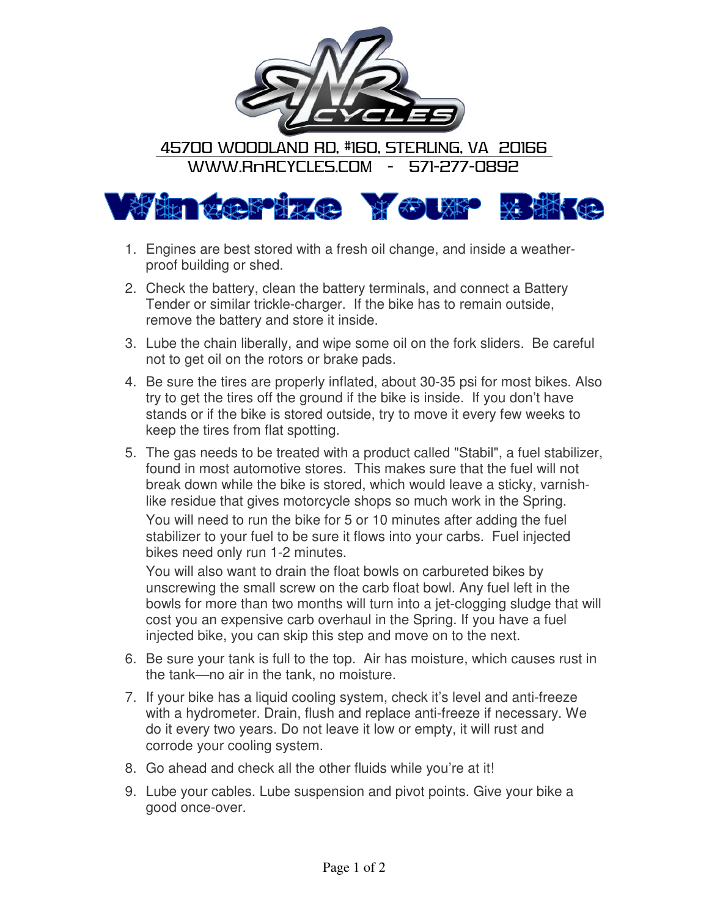

45700 WOODLAND RD, #160, STERLING, VA 20166 WWW.RnRCYCLES.COM - 571-277-0892



- 1. Engines are best stored with a fresh oil change, and inside a weatherproof building or shed.
- 2. Check the battery, clean the battery terminals, and connect a Battery Tender or similar trickle-charger. If the bike has to remain outside, remove the battery and store it inside.
- 3. Lube the chain liberally, and wipe some oil on the fork sliders. Be careful not to get oil on the rotors or brake pads.
- 4. Be sure the tires are properly inflated, about 30-35 psi for most bikes. Also try to get the tires off the ground if the bike is inside. If you don't have stands or if the bike is stored outside, try to move it every few weeks to keep the tires from flat spotting.
- 5. The gas needs to be treated with a product called "Stabil", a fuel stabilizer, found in most automotive stores. This makes sure that the fuel will not break down while the bike is stored, which would leave a sticky, varnishlike residue that gives motorcycle shops so much work in the Spring.

You will need to run the bike for 5 or 10 minutes after adding the fuel stabilizer to your fuel to be sure it flows into your carbs. Fuel injected bikes need only run 1-2 minutes.

You will also want to drain the float bowls on carbureted bikes by unscrewing the small screw on the carb float bowl. Any fuel left in the bowls for more than two months will turn into a jet-clogging sludge that will cost you an expensive carb overhaul in the Spring. If you have a fuel injected bike, you can skip this step and move on to the next.

- 6. Be sure your tank is full to the top. Air has moisture, which causes rust in the tank—no air in the tank, no moisture.
- 7. If your bike has a liquid cooling system, check it's level and anti-freeze with a hydrometer. Drain, flush and replace anti-freeze if necessary. We do it every two years. Do not leave it low or empty, it will rust and corrode your cooling system.
- 8. Go ahead and check all the other fluids while you're at it!
- 9. Lube your cables. Lube suspension and pivot points. Give your bike a good once-over.